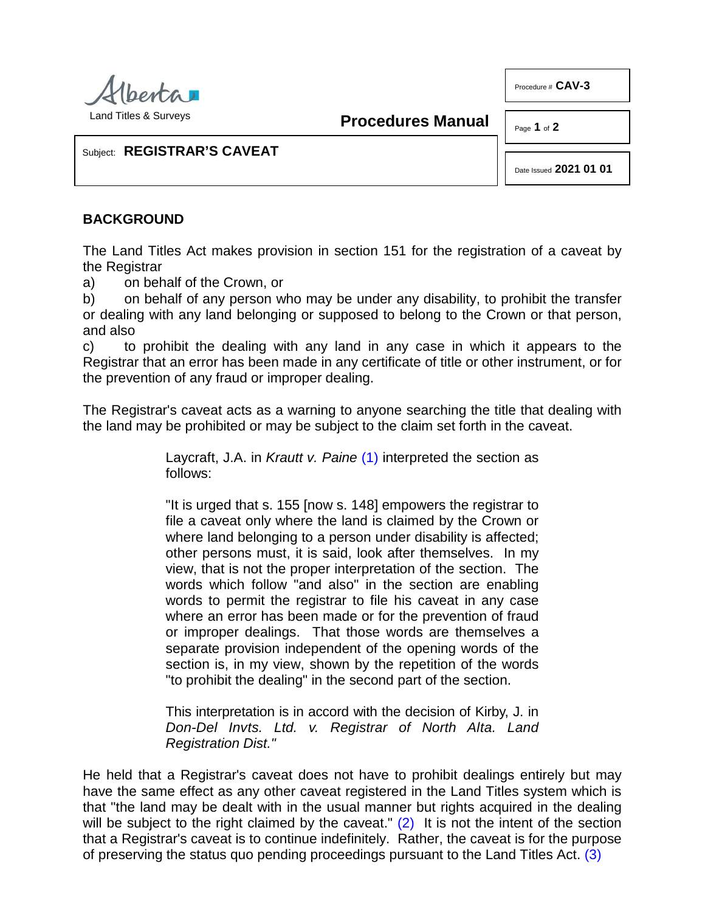

Land Titles & Surveys

**Procedures Manual**

Page **1** of **2** 

Procedure # **CAV-3**

Subject: **REGISTRAR'S CAVEAT**

Date Issued **2021 01 01**

#### **BACKGROUND**

The Land Titles Act makes provision in section 151 for the registration of a caveat by the Registrar

a) on behalf of the Crown, or

b) on behalf of any person who may be under any disability, to prohibit the transfer or dealing with any land belonging or supposed to belong to the Crown or that person, and also

c) to prohibit the dealing with any land in any case in which it appears to the Registrar that an error has been made in any certificate of title or other instrument, or for the prevention of any fraud or improper dealing.

The Registrar's caveat acts as a warning to anyone searching the title that dealing with the land may be prohibited or may be subject to the claim set forth in the caveat.

> <span id="page-0-0"></span>Laycraft, J.A. in *Krautt v. Paine* [\(1\)](#page-1-0) interpreted the section as follows:

> "It is urged that s. 155 [now s. 148] empowers the registrar to file a caveat only where the land is claimed by the Crown or where land belonging to a person under disability is affected; other persons must, it is said, look after themselves. In my view, that is not the proper interpretation of the section. The words which follow "and also" in the section are enabling words to permit the registrar to file his caveat in any case where an error has been made or for the prevention of fraud or improper dealings. That those words are themselves a separate provision independent of the opening words of the section is, in my view, shown by the repetition of the words "to prohibit the dealing" in the second part of the section.

> <span id="page-0-2"></span><span id="page-0-1"></span>This interpretation is in accord with the decision of Kirby, J. in *Don-Del Invts. Ltd. v. Registrar of North Alta. Land Registration Dist."*

He held that a Registrar's caveat does not have to prohibit dealings entirely but may have the same effect as any other caveat registered in the Land Titles system which is that "the land may be dealt with in the usual manner but rights acquired in the dealing will be subject to the right claimed by the caveat."  $(2)$  It is not the intent of the section that a Registrar's caveat is to continue indefinitely. Rather, the caveat is for the purpose of preserving the status quo pending proceedings pursuant to the Land Titles Act. [\(3\)](#page-1-2)